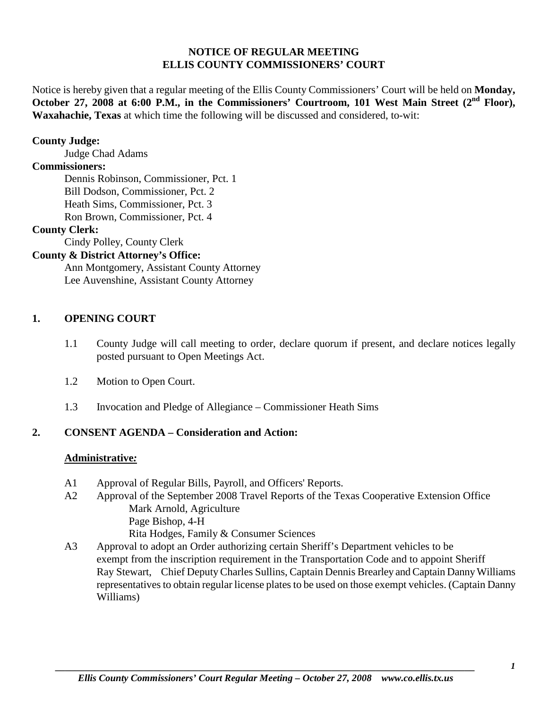### **NOTICE OF REGULAR MEETING ELLIS COUNTY COMMISSIONERS' COURT**

Notice is hereby given that a regular meeting of the Ellis County Commissioners' Court will be held on **Monday, October 27, 2008 at 6:00 P.M., in the Commissioners' Courtroom, 101 West Main Street (2nd Floor), Waxahachie, Texas** at which time the following will be discussed and considered, to-wit:

### **County Judge:**

Judge Chad Adams

### **Commissioners:**

Dennis Robinson, Commissioner, Pct. 1 Bill Dodson, Commissioner, Pct. 2 Heath Sims, Commissioner, Pct. 3 Ron Brown, Commissioner, Pct. 4

#### **County Clerk:**

Cindy Polley, County Clerk

# **County & District Attorney's Office:**

Ann Montgomery, Assistant County Attorney Lee Auvenshine, Assistant County Attorney

#### **1. OPENING COURT**

- 1.1 County Judge will call meeting to order, declare quorum if present, and declare notices legally posted pursuant to Open Meetings Act.
- 1.2 Motion to Open Court.
- 1.3 Invocation and Pledge of Allegiance Commissioner Heath Sims

### **2. CONSENT AGENDA – Consideration and Action:**

### **Administrative***:*

- A1 Approval of Regular Bills, Payroll, and Officers' Reports.
- A2 Approval of the September 2008 Travel Reports of the Texas Cooperative Extension Office Mark Arnold, Agriculture Page Bishop, 4-H Rita Hodges, Family & Consumer Sciences
- A3 Approval to adopt an Order authorizing certain Sheriff's Department vehicles to be exempt from the inscription requirement in the Transportation Code and to appoint Sheriff Ray Stewart, Chief Deputy Charles Sullins, Captain Dennis Brearley and Captain Danny Williams representatives to obtain regular license plates to be used on those exempt vehicles. (Captain Danny Williams)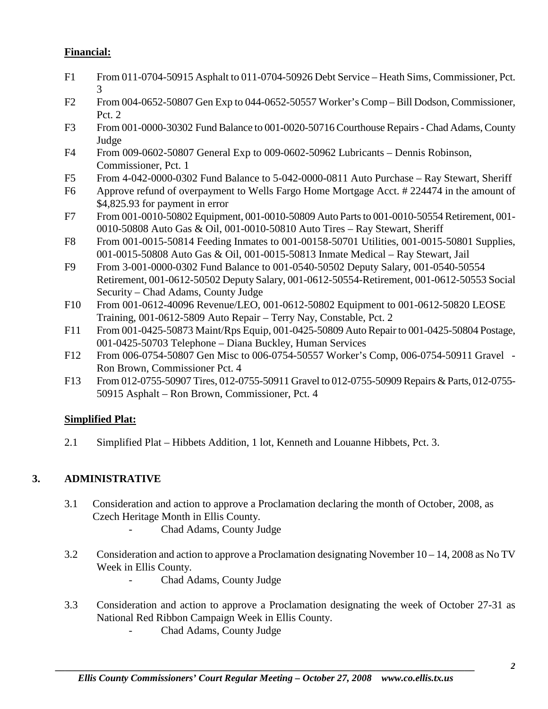# **Financial:**

- F1 From 011-0704-50915 Asphalt to 011-0704-50926 Debt Service Heath Sims, Commissioner, Pct. 3
- F2 From 004-0652-50807 Gen Exp to 044-0652-50557 Worker's Comp-Bill Dodson, Commissioner, Pct. 2
- F3 From 001-0000-30302 Fund Balance to 001-0020-50716 Courthouse Repairs- Chad Adams, County Judge
- F4 From 009-0602-50807 General Exp to 009-0602-50962 Lubricants Dennis Robinson, Commissioner, Pct. 1
- F5 From 4-042-0000-0302 Fund Balance to 5-042-0000-0811 Auto Purchase Ray Stewart, Sheriff
- F6 Approve refund of overpayment to Wells Fargo Home Mortgage Acct. # 224474 in the amount of \$4,825.93 for payment in error
- F7 From 001-0010-50802 Equipment, 001-0010-50809 Auto Parts to 001-0010-50554 Retirement, 001- 0010-50808 Auto Gas & Oil, 001-0010-50810 Auto Tires – Ray Stewart, Sheriff
- F8 From 001-0015-50814 Feeding Inmates to 001-00158-50701 Utilities, 001-0015-50801 Supplies, 001-0015-50808 Auto Gas & Oil, 001-0015-50813 Inmate Medical – Ray Stewart, Jail
- F9 From 3-001-0000-0302 Fund Balance to 001-0540-50502 Deputy Salary, 001-0540-50554 Retirement, 001-0612-50502 Deputy Salary, 001-0612-50554-Retirement, 001-0612-50553 Social Security – Chad Adams, County Judge
- F10 From 001-0612-40096 Revenue/LEO, 001-0612-50802 Equipment to 001-0612-50820 LEOSE Training, 001-0612-5809 Auto Repair – Terry Nay, Constable, Pct. 2
- F11 From 001-0425-50873 Maint/Rps Equip, 001-0425-50809 Auto Repair to 001-0425-50804 Postage, 001-0425-50703 Telephone – Diana Buckley, Human Services
- F12 From 006-0754-50807 Gen Misc to 006-0754-50557 Worker's Comp, 006-0754-50911 Gravel Ron Brown, Commissioner Pct. 4
- F13 From 012-0755-50907 Tires, 012-0755-50911 Gravel to 012-0755-50909 Repairs & Parts, 012-0755- 50915 Asphalt – Ron Brown, Commissioner, Pct. 4

# **Simplified Plat:**

2.1 Simplified Plat – Hibbets Addition, 1 lot, Kenneth and Louanne Hibbets, Pct. 3.

# **3. ADMINISTRATIVE**

- 3.1 Consideration and action to approve a Proclamation declaring the month of October, 2008, as Czech Heritage Month in Ellis County.
	- Chad Adams, County Judge
- 3.2 Consideration and action to approve a Proclamation designating November 10 14, 2008 as No TV Week in Ellis County.
	- Chad Adams, County Judge
- 3.3 Consideration and action to approve a Proclamation designating the week of October 27-31 as National Red Ribbon Campaign Week in Ellis County.
	- Chad Adams, County Judge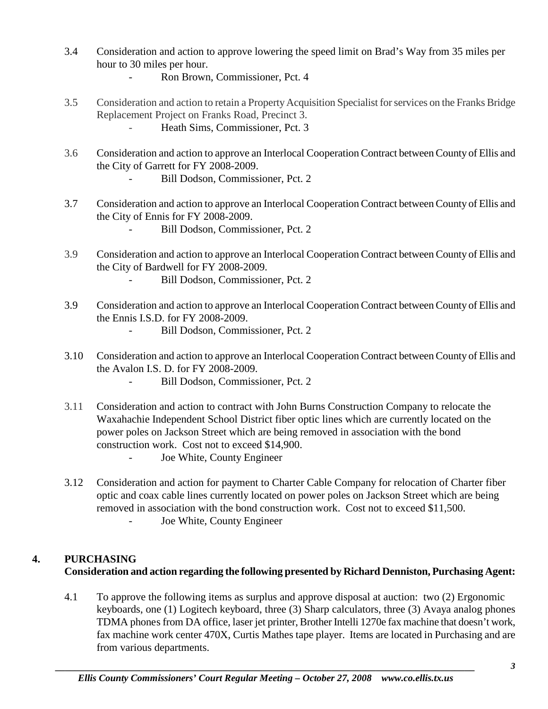- 3.4 Consideration and action to approve lowering the speed limit on Brad's Way from 35 miles per hour to 30 miles per hour.
	- Ron Brown, Commissioner, Pct. 4
- 3.5 Consideration and action to retain a Property Acquisition Specialist for services on the Franks Bridge Replacement Project on Franks Road, Precinct 3. Heath Sims, Commissioner, Pct. 3
- 3.6 Consideration and action to approve an Interlocal Cooperation Contract between County of Ellis and the City of Garrett for FY 2008-2009.
	- Bill Dodson, Commissioner, Pct. 2
- 3.7 Consideration and action to approve an Interlocal Cooperation Contract between County of Ellis and the City of Ennis for FY 2008-2009.
	- Bill Dodson, Commissioner, Pct. 2
- 3.9 Consideration and action to approve an Interlocal Cooperation Contract between County of Ellis and the City of Bardwell for FY 2008-2009.
	- Bill Dodson, Commissioner, Pct. 2
- 3.9 Consideration and action to approve an Interlocal Cooperation Contract between County of Ellis and the Ennis I.S.D. for FY 2008-2009.
	- Bill Dodson, Commissioner, Pct. 2
- 3.10 Consideration and action to approve an Interlocal Cooperation Contract between County of Ellis and the Avalon I.S. D. for FY 2008-2009.
	- Bill Dodson, Commissioner, Pct. 2
- 3.11 Consideration and action to contract with John Burns Construction Company to relocate the Waxahachie Independent School District fiber optic lines which are currently located on the power poles on Jackson Street which are being removed in association with the bond construction work. Cost not to exceed \$14,900.
	- Joe White, County Engineer
- 3.12 Consideration and action for payment to Charter Cable Company for relocation of Charter fiber optic and coax cable lines currently located on power poles on Jackson Street which are being removed in association with the bond construction work. Cost not to exceed \$11,500.
	- Joe White, County Engineer

## **4. PURCHASING Consideration and action regarding the following presented by Richard Denniston, Purchasing Agent:**

4.1 To approve the following items as surplus and approve disposal at auction: two (2) Ergonomic keyboards, one (1) Logitech keyboard, three (3) Sharp calculators, three (3) Avaya analog phones TDMA phones from DA office, laser jet printer, Brother Intelli 1270e fax machine that doesn't work, fax machine work center 470X, Curtis Mathes tape player. Items are located in Purchasing and are from various departments.